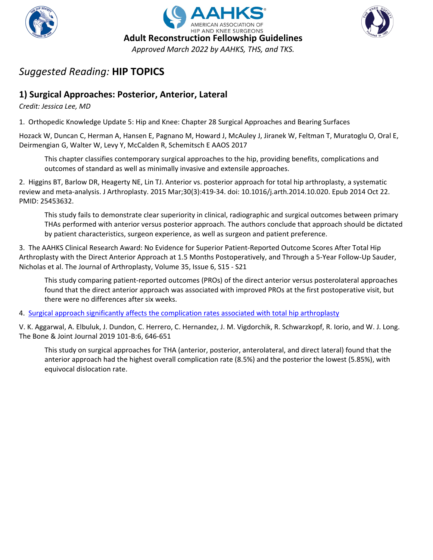





## **1) Surgical Approaches: Posterior, Anterior, Lateral**

*Credit: Jessica Lee, MD*

1. Orthopedic Knowledge Update 5: Hip and Knee: Chapter 28 Surgical Approaches and Bearing Surfaces

Hozack W, Duncan C, Herman A, Hansen E, Pagnano M, Howard J, McAuley J, Jiranek W, Feltman T, Muratoglu O, Oral E, Deirmengian G, Walter W, Levy Y, McCalden R, Schemitsch E AAOS 2017

This chapter classifies contemporary surgical approaches to the hip, providing benefits, complications and outcomes of standard as well as minimally invasive and extensile approaches.

2. Higgins BT, Barlow DR, Heagerty NE, Lin TJ. Anterior vs. posterior approach for total hip arthroplasty, a systematic review and meta-analysis. J Arthroplasty. 2015 Mar;30(3):419-34. doi: 10.1016/j.arth.2014.10.020. Epub 2014 Oct 22. PMID: 25453632.

This study fails to demonstrate clear superiority in clinical, radiographic and surgical outcomes between primary THAs performed with anterior versus posterior approach. The authors conclude that approach should be dictated by patient characteristics, surgeon experience, as well as surgeon and patient preference.

3. The AAHKS Clinical Research Award: No Evidence for Superior Patient-Reported Outcome Scores After Total Hip Arthroplasty with the Direct Anterior Approach at 1.5 Months Postoperatively, and Through a 5-Year Follow-Up Sauder, Nicholas et al. The Journal of Arthroplasty, Volume 35, Issue 6, S15 - S21

This study comparing patient-reported outcomes (PROs) of the direct anterior versus posterolateral approaches found that the direct anterior approach was associated with improved PROs at the first postoperative visit, but there were no differences after six weeks.

4. [Surgical approach significantly affects the complication rates associated with total hip arthroplasty](https://online.boneandjoint.org.uk/doi/abs/10.1302/0301-620X.101B6.BJJ-2018-1474.R1)

V. K. Aggarwal, A. Elbuluk, J. Dundon, C. Herrero, C. Hernandez, J. M. Vigdorchik, R. Schwarzkopf, R. Iorio, and W. J. Long. The Bone & Joint Journal 2019 101-B:6, 646-651

This study on surgical approaches for THA (anterior, posterior, anterolateral, and direct lateral) found that the anterior approach had the highest overall complication rate (8.5%) and the posterior the lowest (5.85%), with equivocal dislocation rate.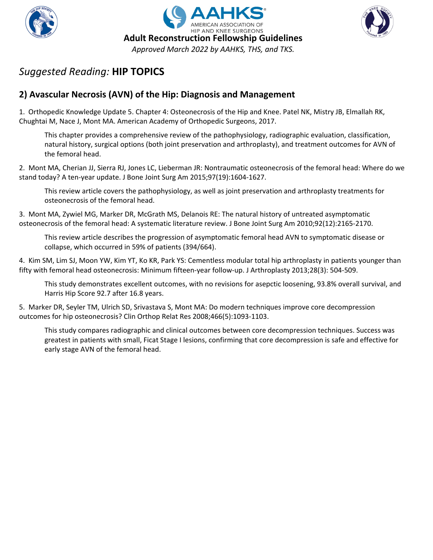





## **2) Avascular Necrosis (AVN) of the Hip: Diagnosis and Management**

1. Orthopedic Knowledge Update 5. Chapter 4: Osteonecrosis of the Hip and Knee. Patel NK, Mistry JB, Elmallah RK, Chughtai M, Nace J, Mont MA. American Academy of Orthopedic Surgeons, 2017.

This chapter provides a comprehensive review of the pathophysiology, radiographic evaluation, classification, natural history, surgical options (both joint preservation and arthroplasty), and treatment outcomes for AVN of the femoral head.

2. Mont MA, Cherian JJ, Sierra RJ, Jones LC, Lieberman JR: Nontraumatic osteonecrosis of the femoral head: Where do we stand today? A ten-year update. J Bone Joint Surg Am 2015;97(19):1604-1627.

This review article covers the pathophysiology, as well as joint preservation and arthroplasty treatments for osteonecrosis of the femoral head.

3. Mont MA, Zywiel MG, Marker DR, McGrath MS, Delanois RE: The natural history of untreated asymptomatic osteonecrosis of the femoral head: A systematic literature review. J Bone Joint Surg Am 2010;92(12):2165-2170.

This review article describes the progression of asymptomatic femoral head AVN to symptomatic disease or collapse, which occurred in 59% of patients (394/664).

4. Kim SM, Lim SJ, Moon YW, Kim YT, Ko KR, Park YS: Cementless modular total hip arthroplasty in patients younger than fifty with femoral head osteonecrosis: Minimum fifteen-year follow-up. J Arthroplasty 2013;28(3): 504-509.

This study demonstrates excellent outcomes, with no revisions for asepctic loosening, 93.8% overall survival, and Harris Hip Score 92.7 after 16.8 years.

5. Marker DR, Seyler TM, Ulrich SD, Srivastava S, Mont MA: Do modern techniques improve core decompression outcomes for hip osteonecrosis? Clin Orthop Relat Res 2008;466(5):1093-1103.

This study compares radiographic and clinical outcomes between core decompression techniques. Success was greatest in patients with small, Ficat Stage I lesions, confirming that core decompression is safe and effective for early stage AVN of the femoral head.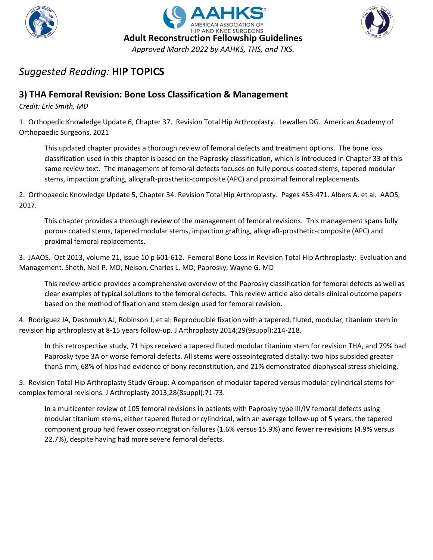





## **3) THA Femoral Revision: Bone Loss Classification & Management**

*Credit: Eric Smith, MD*

1. Orthopedic Knowledge Update 6, Chapter 37. Revision Total Hip Arthroplasty. Lewallen DG. American Academy of Orthopaedic Surgeons, 2021

This updated chapter provides a thorough review of femoral defects and treatment options. The bone loss classification used in this chapter is based on the Paprosky classification, which is introduced in Chapter 33 of this same review text. The management of femoral defects focuses on fully porous coated stems, tapered modular stems, impaction grafting, allograft-prosthetic-composite (APC) and proximal femoral replacements.

2. Orthopaedic Knowledge Update 5, Chapter 34. Revision Total Hip Arthroplasty. Pages 453-471. Albers A. et al. AAOS, 2017.

This chapter provides a thorough review of the management of femoral revisions. This management spans fully porous coated stems, tapered modular stems, impaction grafting, allograft-prosthetic-composite (APC) and proximal femoral replacements.

3. JAAOS. Oct 2013, volume 21, issue 10 p 601-612. Femoral Bone Loss in Revision Total Hip Arthroplasty: Evaluation and Management. Sheth, Neil P. MD; Nelson, Charles L. MD; Paprosky, Wayne G. MD

This review article provides a comprehensive overview of the Paprosky classification for femoral defects as well as clear examples of typical solutions to the femoral defects. This review article also details clinical outcome papers based on the method of fixation and stem design used for femoral revision.

4. Rodriguez JA, Deshmukh AJ, Robinson J, et al: Reproducible fixation with a tapered, fluted, modular, titanium stem in revision hip arthroplasty at 8-15 years follow-up. J Arthroplasty 2014;29(9suppl):214-218.

In this retrospective study, 71 hips received a tapered fluted modular titanium stem for revision THA, and 79% had Paprosky type 3A or worse femoral defects. All stems were osseointegrated distally; two hips subsided greater than5 mm, 68% of hips had evidence of bony reconstitution, and 21% demonstrated diaphyseal stress shielding.

5. Revision Total Hip Arthroplasty Study Group: A comparison of modular tapered versus modular cylindrical stems for complex femoral revisions. J Arthroplasty 2013;28(8suppl):71-73.

In a multicenter review of 105 femoral revisions in patients with Paprosky type III/IV femoral defects using modular titanium stems, either tapered fluted or cylindrical, with an average follow-up of 5 years, the tapered component group had fewer osseointegration failures (1.6% versus 15.9%) and fewer re-revisions (4.9% versus 22.7%), despite having had more severe femoral defects.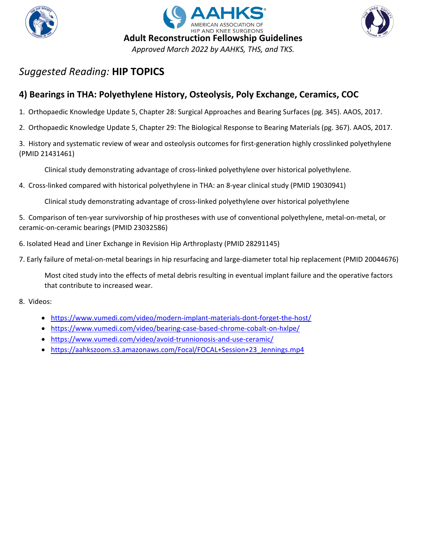





## **4) Bearings in THA: Polyethylene History, Osteolysis, Poly Exchange, Ceramics, COC**

- 1. Orthopaedic Knowledge Update 5, Chapter 28: Surgical Approaches and Bearing Surfaces (pg. 345). AAOS, 2017.
- 2. Orthopaedic Knowledge Update 5, Chapter 29: The Biological Response to Bearing Materials (pg. 367). AAOS, 2017.

3. History and systematic review of wear and osteolysis outcomes for first-generation highly crosslinked polyethylene (PMID 21431461)

Clinical study demonstrating advantage of cross-linked polyethylene over historical polyethylene.

4. Cross-linked compared with historical polyethylene in THA: an 8-year clinical study (PMID 19030941)

Clinical study demonstrating advantage of cross-linked polyethylene over historical polyethylene

5. Comparison of ten-year survivorship of hip prostheses with use of conventional polyethylene, metal-on-metal, or ceramic-on-ceramic bearings (PMID 23032586)

- 6. Isolated Head and Liner Exchange in Revision Hip Arthroplasty (PMID 28291145)
- 7. Early failure of metal-on-metal bearings in hip resurfacing and large-diameter total hip replacement (PMID 20044676)

Most cited study into the effects of metal debris resulting in eventual implant failure and the operative factors that contribute to increased wear.

- 8. Videos:
	- <https://www.vumedi.com/video/modern-implant-materials-dont-forget-the-host/>
	- <https://www.vumedi.com/video/bearing-case-based-chrome-cobalt-on-hxlpe/>
	- <https://www.vumedi.com/video/avoid-trunnionosis-and-use-ceramic/>
	- https://aahkszoom.s3.amazonaws.com/Focal/FOCAL+Session+23 Jennings.mp4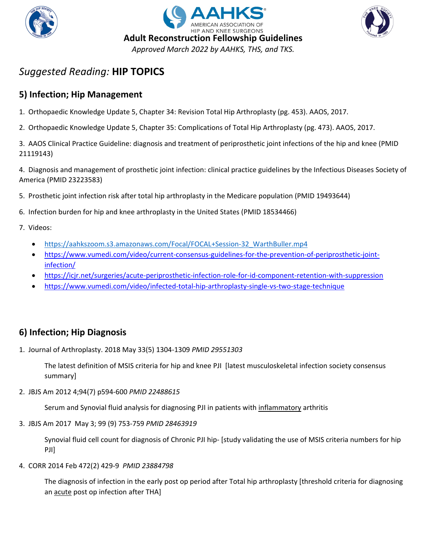





## **5) Infection; Hip Management**

- 1. Orthopaedic Knowledge Update 5, Chapter 34: Revision Total Hip Arthroplasty (pg. 453). AAOS, 2017.
- 2. Orthopaedic Knowledge Update 5, Chapter 35: Complications of Total Hip Arthroplasty (pg. 473). AAOS, 2017.

3. AAOS Clinical Practice Guideline: diagnosis and treatment of periprosthetic joint infections of the hip and knee (PMID 21119143)

4. Diagnosis and management of prosthetic joint infection: clinical practice guidelines by the Infectious Diseases Society of America (PMID 23223583)

- 5. Prosthetic joint infection risk after total hip arthroplasty in the Medicare population (PMID 19493644)
- 6. Infection burden for hip and knee arthroplasty in the United States (PMID 18534466)
- 7. Videos:
	- https://aahkszoom.s3.amazonaws.com/Focal/FOCAL+Session-32 WarthBuller.mp4
	- [https://www.vumedi.com/video/current-consensus-guidelines-for-the-prevention-of-periprosthetic-joint](https://www.vumedi.com/video/current-consensus-guidelines-for-the-prevention-of-periprosthetic-joint-infection/)[infection/](https://www.vumedi.com/video/current-consensus-guidelines-for-the-prevention-of-periprosthetic-joint-infection/)
	- <https://icjr.net/surgeries/acute-periprosthetic-infection-role-for-id-component-retention-with-suppression>
	- <https://www.vumedi.com/video/infected-total-hip-arthroplasty-single-vs-two-stage-technique>

### **6) Infection; Hip Diagnosis**

1. Journal of Arthroplasty. 2018 May 33(5) 1304-1309 *PMID 29551303*

The latest definition of MSIS criteria for hip and knee PJI [latest musculoskeletal infection society consensus summary]

2. JBJS Am 2012 4;94(7) p594-600 *PMID 22488615*

Serum and Synovial fluid analysis for diagnosing PJI in patients with inflammatory arthritis

3. JBJS Am 2017 May 3; 99 (9) 753-759 *PMID 28463919*

Synovial fluid cell count for diagnosis of Chronic PJI hip- [study validating the use of MSIS criteria numbers for hip PJI]

4. CORR 2014 Feb 472(2) 429-9 *PMID 23884798*

The diagnosis of infection in the early post op period after Total hip arthroplasty [threshold criteria for diagnosing an acute post op infection after THA]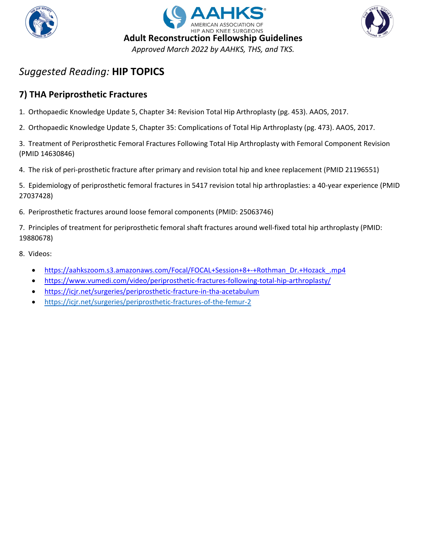





## **7) THA Periprosthetic Fractures**

- 1. Orthopaedic Knowledge Update 5, Chapter 34: Revision Total Hip Arthroplasty (pg. 453). AAOS, 2017.
- 2. Orthopaedic Knowledge Update 5, Chapter 35: Complications of Total Hip Arthroplasty (pg. 473). AAOS, 2017.

3. Treatment of Periprosthetic Femoral Fractures Following Total Hip Arthroplasty with Femoral Component Revision (PMID 14630846)

4. The risk of peri-prosthetic fracture after primary and revision total hip and knee replacement (PMID 21196551)

5. Epidemiology of periprosthetic femoral fractures in 5417 revision total hip arthroplasties: a 40-year experience (PMID 27037428)

6. Periprosthetic fractures around loose femoral components (PMID: 25063746)

7. Principles of treatment for periprosthetic femoral shaft fractures around well-fixed total hip arthroplasty (PMID: 19880678)

- 8. Videos:
	- [https://aahkszoom.s3.amazonaws.com/Focal/FOCAL+Session+8+-+Rothman\\_Dr.+Hozack\\_.mp4](https://aahkszoom.s3.amazonaws.com/Focal/FOCAL+Session+8+-+Rothman_Dr.+Hozack_.mp4)
	- <https://www.vumedi.com/video/periprosthetic-fractures-following-total-hip-arthroplasty/>
	- <https://icjr.net/surgeries/periprosthetic-fracture-in-tha-acetabulum>
	- <https://icjr.net/surgeries/periprosthetic-fractures-of-the-femur-2>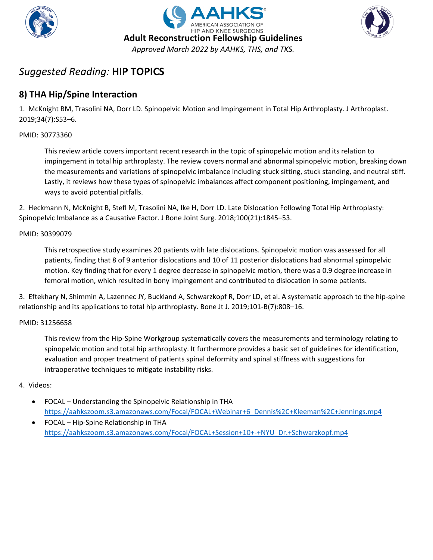





## **8) THA Hip/Spine Interaction**

1. McKnight BM, Trasolini NA, Dorr LD. Spinopelvic Motion and Impingement in Total Hip Arthroplasty. J Arthroplast. 2019;34(7):S53–6.

#### PMID: 30773360

This review article covers important recent research in the topic of spinopelvic motion and its relation to impingement in total hip arthroplasty. The review covers normal and abnormal spinopelvic motion, breaking down the measurements and variations of spinopelvic imbalance including stuck sitting, stuck standing, and neutral stiff. Lastly, it reviews how these types of spinopelvic imbalances affect component positioning, impingement, and ways to avoid potential pitfalls.

2. Heckmann N, McKnight B, Stefl M, Trasolini NA, Ike H, Dorr LD. Late Dislocation Following Total Hip Arthroplasty: Spinopelvic Imbalance as a Causative Factor. J Bone Joint Surg. 2018;100(21):1845–53.

#### PMID: 30399079

This retrospective study examines 20 patients with late dislocations. Spinopelvic motion was assessed for all patients, finding that 8 of 9 anterior dislocations and 10 of 11 posterior dislocations had abnormal spinopelvic motion. Key finding that for every 1 degree decrease in spinopelvic motion, there was a 0.9 degree increase in femoral motion, which resulted in bony impingement and contributed to dislocation in some patients.

3. Eftekhary N, Shimmin A, Lazennec JY, Buckland A, Schwarzkopf R, Dorr LD, et al. A systematic approach to the hip-spine relationship and its applications to total hip arthroplasty. Bone Jt J. 2019;101-B(7):808–16.

#### PMID: 31256658

This review from the Hip-Spine Workgroup systematically covers the measurements and terminology relating to spinopelvic motion and total hip arthroplasty. It furthermore provides a basic set of guidelines for identification, evaluation and proper treatment of patients spinal deformity and spinal stiffness with suggestions for intraoperative techniques to mitigate instability risks.

#### 4. Videos:

- FOCAL Understanding the Spinopelvic Relationship in THA [https://aahkszoom.s3.amazonaws.com/Focal/FOCAL+Webinar+6\\_Dennis%2C+Kleeman%2C+Jennings.mp4](https://aahkszoom.s3.amazonaws.com/Focal/FOCAL+Webinar+6_Dennis%2C+Kleeman%2C+Jennings.mp4)
- FOCAL Hip-Spine Relationship in THA [https://aahkszoom.s3.amazonaws.com/Focal/FOCAL+Session+10+-+NYU\\_Dr.+Schwarzkopf.mp4](https://aahkszoom.s3.amazonaws.com/Focal/FOCAL+Session+10+-+NYU_Dr.+Schwarzkopf.mp4)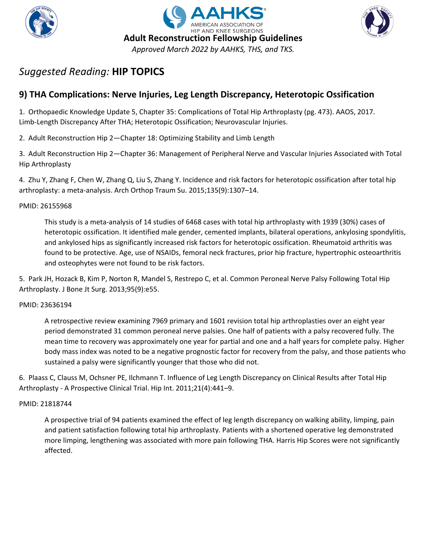





## **9) THA Complications: Nerve Injuries, Leg Length Discrepancy, Heterotopic Ossification**

1. Orthopaedic Knowledge Update 5, Chapter 35: Complications of Total Hip Arthroplasty (pg. 473). AAOS, 2017. Limb-Length Discrepancy After THA; Heterotopic Ossification; Neurovascular Injuries.

2. Adult Reconstruction Hip 2—Chapter 18: Optimizing Stability and Limb Length

3. Adult Reconstruction Hip 2—Chapter 36: Management of Peripheral Nerve and Vascular Injuries Associated with Total Hip Arthroplasty

4. Zhu Y, Zhang F, Chen W, Zhang Q, Liu S, Zhang Y. Incidence and risk factors for heterotopic ossification after total hip arthroplasty: a meta-analysis. Arch Orthop Traum Su. 2015;135(9):1307–14.

### PMID: 26155968

This study is a meta-analysis of 14 studies of 6468 cases with total hip arthroplasty with 1939 (30%) cases of heterotopic ossification. It identified male gender, cemented implants, bilateral operations, ankylosing spondylitis, and ankylosed hips as significantly increased risk factors for heterotopic ossification. Rheumatoid arthritis was found to be protective. Age, use of NSAIDs, femoral neck fractures, prior hip fracture, hypertrophic osteoarthritis and osteophytes were not found to be risk factors.

5. Park JH, Hozack B, Kim P, Norton R, Mandel S, Restrepo C, et al. Common Peroneal Nerve Palsy Following Total Hip Arthroplasty. J Bone Jt Surg. 2013;95(9):e55.

#### PMID: 23636194

A retrospective review examining 7969 primary and 1601 revision total hip arthroplasties over an eight year period demonstrated 31 common peroneal nerve palsies. One half of patients with a palsy recovered fully. The mean time to recovery was approximately one year for partial and one and a half years for complete palsy. Higher body mass index was noted to be a negative prognostic factor for recovery from the palsy, and those patients who sustained a palsy were significantly younger that those who did not.

6. Plaass C, Clauss M, Ochsner PE, Ilchmann T. Influence of Leg Length Discrepancy on Clinical Results after Total Hip Arthroplasty - A Prospective Clinical Trial. Hip Int. 2011;21(4):441–9.

#### PMID: 21818744

A prospective trial of 94 patients examined the effect of leg length discrepancy on walking ability, limping, pain and patient satisfaction following total hip arthroplasty. Patients with a shortened operative leg demonstrated more limping, lengthening was associated with more pain following THA. Harris Hip Scores were not significantly affected.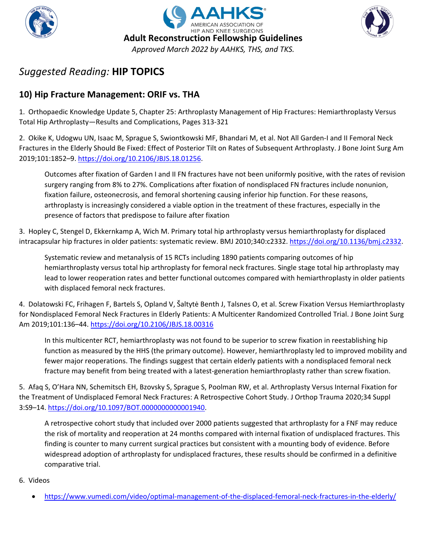





## **10) Hip Fracture Management: ORIF vs. THA**

1. Orthopaedic Knowledge Update 5, Chapter 25: Arthroplasty Management of Hip Fractures: Hemiarthroplasty Versus Total Hip Arthroplasty—Results and Complications, Pages 313-321

2. Okike K, Udogwu UN, Isaac M, Sprague S, Swiontkowski MF, Bhandari M, et al. Not All Garden-I and II Femoral Neck Fractures in the Elderly Should Be Fixed: Effect of Posterior Tilt on Rates of Subsequent Arthroplasty. J Bone Joint Surg Am 2019;101:1852–9[. https://doi.org/10.2106/JBJS.18.01256.](https://doi.org/10.2106/JBJS.18.01256)

Outcomes after fixation of Garden I and II FN fractures have not been uniformly positive, with the rates of revision surgery ranging from 8% to 27%. Complications after fixation of nondisplaced FN fractures include nonunion, fixation failure, osteonecrosis, and femoral shortening causing inferior hip function. For these reasons, arthroplasty is increasingly considered a viable option in the treatment of these fractures, especially in the presence of factors that predispose to failure after fixation

3. Hopley C, Stengel D, Ekkernkamp A, Wich M. Primary total hip arthroplasty versus hemiarthroplasty for displaced intracapsular hip fractures in older patients: systematic review. BMJ 2010;340:c2332. [https://doi.org/10.1136/bmj.c2332.](https://doi.org/10.1136/bmj.c2332)

Systematic review and metanalysis of 15 RCTs including 1890 patients comparing outcomes of hip hemiarthroplasty versus total hip arthroplasty for femoral neck fractures. Single stage total hip arthroplasty may lead to lower reoperation rates and better functional outcomes compared with hemiarthroplasty in older patients with displaced femoral neck fractures.

4. Dolatowski FC, Frihagen F, Bartels S, Opland V, Šaltytė Benth J, Talsnes O, et al. Screw Fixation Versus Hemiarthroplasty for Nondisplaced Femoral Neck Fractures in Elderly Patients: A Multicenter Randomized Controlled Trial. J Bone Joint Surg Am 2019;101:136–44.<https://doi.org/10.2106/JBJS.18.00316>

In this multicenter RCT, hemiarthroplasty was not found to be superior to screw fixation in reestablishing hip function as measured by the HHS (the primary outcome). However, hemiarthroplasty led to improved mobility and fewer major reoperations. The findings suggest that certain elderly patients with a nondisplaced femoral neck fracture may benefit from being treated with a latest-generation hemiarthroplasty rather than screw fixation.

5. Afaq S, O'Hara NN, Schemitsch EH, Bzovsky S, Sprague S, Poolman RW, et al. Arthroplasty Versus Internal Fixation for the Treatment of Undisplaced Femoral Neck Fractures: A Retrospective Cohort Study. J Orthop Trauma 2020;34 Suppl 3:S9–14. [https://doi.org/10.1097/BOT.0000000000001940.](https://doi.org/10.1097/BOT.0000000000001940)

A retrospective cohort study that included over 2000 patients suggested that arthroplasty for a FNF may reduce the risk of mortality and reoperation at 24 months compared with internal fixation of undisplaced fractures. This finding is counter to many current surgical practices but consistent with a mounting body of evidence. Before widespread adoption of arthroplasty for undisplaced fractures, these results should be confirmed in a definitive comparative trial.

### 6. Videos

• <https://www.vumedi.com/video/optimal-management-of-the-displaced-femoral-neck-fractures-in-the-elderly/>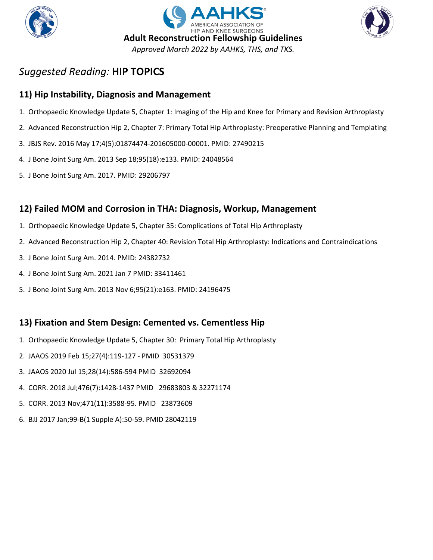





### **11) Hip Instability, Diagnosis and Management**

- 1. Orthopaedic Knowledge Update 5, Chapter 1: Imaging of the Hip and Knee for Primary and Revision Arthroplasty
- 2. Advanced Reconstruction Hip 2, Chapter 7: Primary Total Hip Arthroplasty: Preoperative Planning and Templating
- 3. JBJS Rev. 2016 May 17;4(5):01874474-201605000-00001. PMID: 27490215
- 4. J Bone Joint Surg Am. 2013 Sep 18;95(18):e133. PMID: 24048564
- 5. J Bone Joint Surg Am. 2017. PMID: 29206797

### **12) Failed MOM and Corrosion in THA: Diagnosis, Workup, Management**

- 1. Orthopaedic Knowledge Update 5, Chapter 35: Complications of Total Hip Arthroplasty
- 2. Advanced Reconstruction Hip 2, Chapter 40: Revision Total Hip Arthroplasty: Indications and Contraindications
- 3. J Bone Joint Surg Am. 2014. PMID: 24382732
- 4. J Bone Joint Surg Am. 2021 Jan 7 PMID: 33411461
- 5. J Bone Joint Surg Am. 2013 Nov 6;95(21):e163. PMID: 24196475

### **13) Fixation and Stem Design: Cemented vs. Cementless Hip**

- 1. Orthopaedic Knowledge Update 5, Chapter 30: Primary Total Hip Arthroplasty
- 2. JAAOS 2019 Feb 15;27(4):119-127 PMID 30531379
- 3. JAAOS 2020 Jul 15;28(14):586-594 PMID 32692094
- 4. CORR. 2018 Jul;476(7):1428-1437 PMID 29683803 & 32271174
- 5. CORR. 2013 Nov;471(11):3588-95. PMID 23873609
- 6. BJJ 2017 Jan;99-B(1 Supple A):50-59. PMID 28042119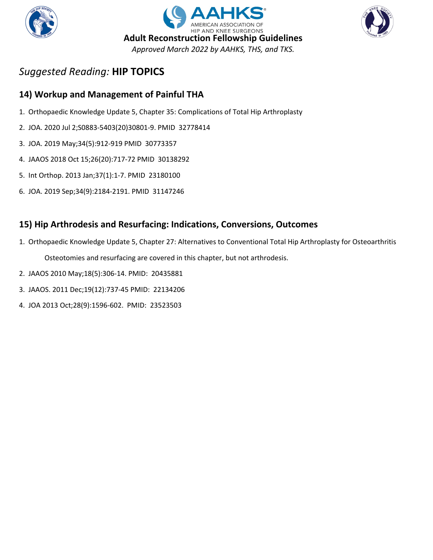





## **14) Workup and Management of Painful THA**

- 1. Orthopaedic Knowledge Update 5, Chapter 35: Complications of Total Hip Arthroplasty
- 2. JOA. 2020 Jul 2;S0883-5403(20)30801-9. PMID 32778414
- 3. JOA. 2019 May;34(5):912-919 PMID 30773357
- 4. JAAOS 2018 Oct 15;26(20):717-72 PMID 30138292
- 5. Int Orthop. 2013 Jan;37(1):1-7. PMID 23180100
- 6. JOA. 2019 Sep;34(9):2184-2191. PMID 31147246

## **15) Hip Arthrodesis and Resurfacing: Indications, Conversions, Outcomes**

- 1. Orthopaedic Knowledge Update 5, Chapter 27: Alternatives to Conventional Total Hip Arthroplasty for Osteoarthritis Osteotomies and resurfacing are covered in this chapter, but not arthrodesis.
- 2. JAAOS 2010 May;18(5):306-14. PMID: 20435881
- 3. JAAOS. 2011 Dec;19(12):737-45 PMID: 22134206
- 4. JOA 2013 Oct;28(9):1596-602. PMID: 23523503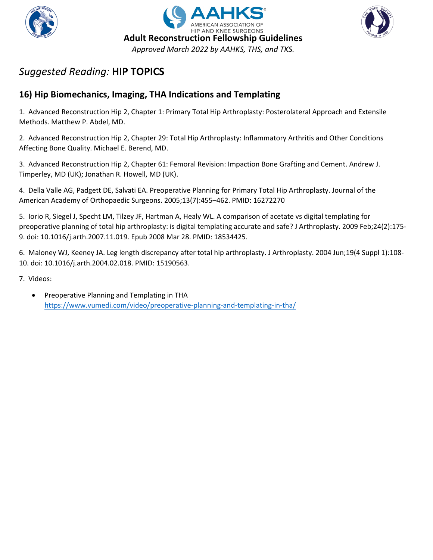





## **16) Hip Biomechanics, Imaging, THA Indications and Templating**

1. Advanced Reconstruction Hip 2, Chapter 1: Primary Total Hip Arthroplasty: Posterolateral Approach and Extensile Methods. Matthew P. Abdel, MD.

2. Advanced Reconstruction Hip 2, Chapter 29: Total Hip Arthroplasty: Inflammatory Arthritis and Other Conditions Affecting Bone Quality. Michael E. Berend, MD.

3. Advanced Reconstruction Hip 2, Chapter 61: Femoral Revision: Impaction Bone Grafting and Cement. Andrew J. Timperley, MD (UK); Jonathan R. Howell, MD (UK).

4. Della Valle AG, Padgett DE, Salvati EA. Preoperative Planning for Primary Total Hip Arthroplasty. Journal of the American Academy of Orthopaedic Surgeons. 2005;13(7):455–462. PMID: 16272270

5. Iorio R, Siegel J, Specht LM, Tilzey JF, Hartman A, Healy WL. A comparison of acetate vs digital templating for preoperative planning of total hip arthroplasty: is digital templating accurate and safe? J Arthroplasty. 2009 Feb;24(2):175- 9. doi: 10.1016/j.arth.2007.11.019. Epub 2008 Mar 28. PMID: 18534425.

6. Maloney WJ, Keeney JA. Leg length discrepancy after total hip arthroplasty. J Arthroplasty. 2004 Jun;19(4 Suppl 1):108- 10. doi: 10.1016/j.arth.2004.02.018. PMID: 15190563.

7. Videos:

• Preoperative Planning and Templating in THA <https://www.vumedi.com/video/preoperative-planning-and-templating-in-tha/>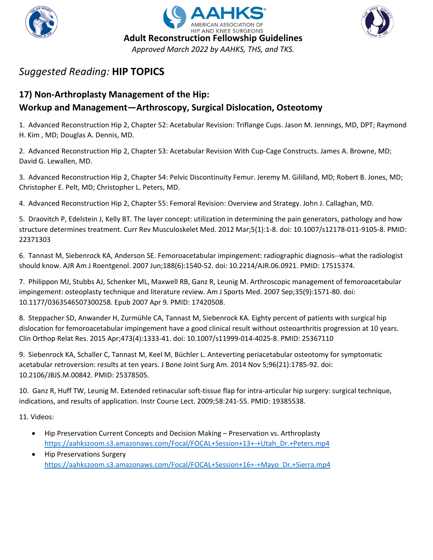





## **17) Non-Arthroplasty Management of the Hip: Workup and Management—Arthroscopy, Surgical Dislocation, Osteotomy**

1. Advanced Reconstruction Hip 2, Chapter 52: Acetabular Revision: Triflange Cups. Jason M. Jennings, MD, DPT; Raymond H. Kim , MD; Douglas A. Dennis, MD.

2. Advanced Reconstruction Hip 2, Chapter 53: Acetabular Revision With Cup-Cage Constructs. James A. Browne, MD; David G. Lewallen, MD.

3. Advanced Reconstruction Hip 2, Chapter 54: Pelvic Discontinuity Femur. Jeremy M. Gililland, MD; Robert B. Jones, MD; Christopher E. Pelt, MD; Christopher L. Peters, MD.

4. Advanced Reconstruction Hip 2, Chapter 55: Femoral Revision: Overview and Strategy. John J. Callaghan, MD.

5. Draovitch P, Edelstein J, Kelly BT. The layer concept: utilization in determining the pain generators, pathology and how structure determines treatment. Curr Rev Musculoskelet Med. 2012 Mar;5(1):1-8. doi: 10.1007/s12178-011-9105-8. PMID: 22371303

6. Tannast M, Siebenrock KA, Anderson SE. Femoroacetabular impingement: radiographic diagnosis--what the radiologist should know. AJR Am J Roentgenol. 2007 Jun;188(6):1540-52. doi: 10.2214/AJR.06.0921. PMID: 17515374.

7. Philippon MJ, Stubbs AJ, Schenker ML, Maxwell RB, Ganz R, Leunig M. Arthroscopic management of femoroacetabular impingement: osteoplasty technique and literature review. Am J Sports Med. 2007 Sep;35(9):1571-80. doi: 10.1177/0363546507300258. Epub 2007 Apr 9. PMID: 17420508.

8. Steppacher SD, Anwander H, Zurmühle CA, Tannast M, Siebenrock KA. Eighty percent of patients with surgical hip dislocation for femoroacetabular impingement have a good clinical result without osteoarthritis progression at 10 years. Clin Orthop Relat Res. 2015 Apr;473(4):1333-41. doi: 10.1007/s11999-014-4025-8. PMID: 25367110

9. Siebenrock KA, Schaller C, Tannast M, Keel M, Büchler L. Anteverting periacetabular osteotomy for symptomatic acetabular retroversion: results at ten years. J Bone Joint Surg Am. 2014 Nov 5;96(21):1785-92. doi: 10.2106/JBJS.M.00842. PMID: 25378505.

10. Ganz R, Huff TW, Leunig M. Extended retinacular soft-tissue flap for intra-articular hip surgery: surgical technique, indications, and results of application. Instr Course Lect. 2009;58:241-55. PMID: 19385538.

11. Videos:

- Hip Preservation Current Concepts and Decision Making Preservation vs. Arthroplasty [https://aahkszoom.s3.amazonaws.com/Focal/FOCAL+Session+13+-+Utah\\_Dr.+Peters.mp4](https://aahkszoom.s3.amazonaws.com/Focal/FOCAL+Session+13+-+Utah_Dr.+Peters.mp4)
- Hip Preservations Surgery [https://aahkszoom.s3.amazonaws.com/Focal/FOCAL+Session+16+-+Mayo\\_Dr.+Sierra.mp4](https://aahkszoom.s3.amazonaws.com/Focal/FOCAL+Session+16+-+Mayo_Dr.+Sierra.mp4)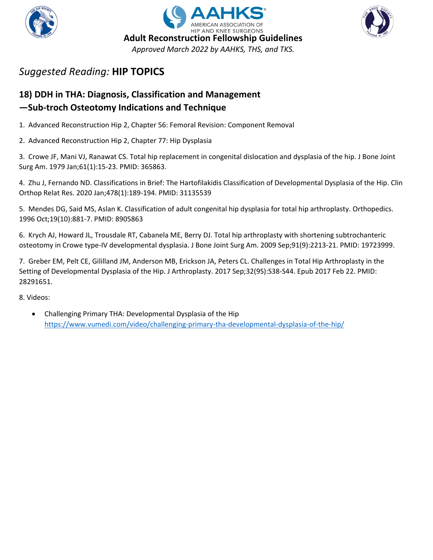





## **18) DDH in THA: Diagnosis, Classification and Management —Sub-troch Osteotomy Indications and Technique**

1. Advanced Reconstruction Hip 2, Chapter 56: Femoral Revision: Component Removal

2. Advanced Reconstruction Hip 2, Chapter 77: Hip Dysplasia

3. Crowe JF, Mani VJ, Ranawat CS. Total hip replacement in congenital dislocation and dysplasia of the hip. J Bone Joint Surg Am. 1979 Jan;61(1):15-23. PMID: 365863.

4. Zhu J, Fernando ND. Classifications in Brief: The Hartofilakidis Classification of Developmental Dysplasia of the Hip. Clin Orthop Relat Res. 2020 Jan;478(1):189-194. PMID: 31135539

5. Mendes DG, Said MS, Aslan K. Classification of adult congenital hip dysplasia for total hip arthroplasty. Orthopedics. 1996 Oct;19(10):881-7. PMID: 8905863

6. Krych AJ, Howard JL, Trousdale RT, Cabanela ME, Berry DJ. Total hip arthroplasty with shortening subtrochanteric osteotomy in Crowe type-IV developmental dysplasia. J Bone Joint Surg Am. 2009 Sep;91(9):2213-21. PMID: 19723999.

7. Greber EM, Pelt CE, Gililland JM, Anderson MB, Erickson JA, Peters CL. Challenges in Total Hip Arthroplasty in the Setting of Developmental Dysplasia of the Hip. J Arthroplasty. 2017 Sep;32(9S):S38-S44. Epub 2017 Feb 22. PMID: 28291651.

8. Videos:

• Challenging Primary THA: Developmental Dysplasia of the Hip <https://www.vumedi.com/video/challenging-primary-tha-developmental-dysplasia-of-the-hip/>